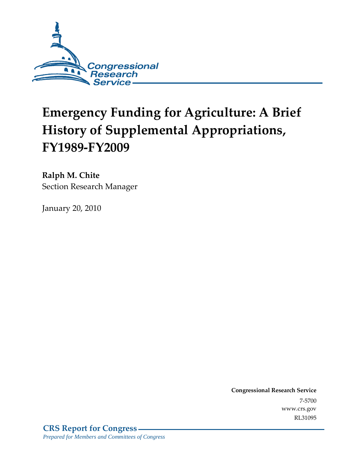

# **Emergency Funding for Agriculture: A Brief History of Supplemental Appropriations, FY1989-FY2009**

**Ralph M. Chite**  Section Research Manager

January 20, 2010

**Congressional Research Service** 7-5700 www.crs.gov RL31095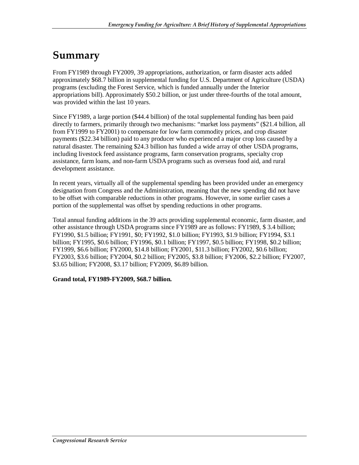## **Summary**

From FY1989 through FY2009, 39 appropriations, authorization, or farm disaster acts added approximately \$68.7 billion in supplemental funding for U.S. Department of Agriculture (USDA) programs (excluding the Forest Service, which is funded annually under the Interior appropriations bill). Approximately \$50.2 billion, or just under three-fourths of the total amount, was provided within the last 10 years.

Since FY1989, a large portion (\$44.4 billion) of the total supplemental funding has been paid directly to farmers, primarily through two mechanisms: "market loss payments" (\$21.4 billion, all from FY1999 to FY2001) to compensate for low farm commodity prices, and crop disaster payments (\$22.34 billion) paid to any producer who experienced a major crop loss caused by a natural disaster. The remaining \$24.3 billion has funded a wide array of other USDA programs, including livestock feed assistance programs, farm conservation programs, specialty crop assistance, farm loans, and non-farm USDA programs such as overseas food aid, and rural development assistance.

In recent years, virtually all of the supplemental spending has been provided under an emergency designation from Congress and the Administration, meaning that the new spending did not have to be offset with comparable reductions in other programs. However, in some earlier cases a portion of the supplemental was offset by spending reductions in other programs.

Total annual funding additions in the 39 acts providing supplemental economic, farm disaster, and other assistance through USDA programs since FY1989 are as follows: FY1989, \$ 3.4 billion; FY1990, \$1.5 billion; FY1991, \$0; FY1992, \$1.0 billion; FY1993, \$1.9 billion; FY1994, \$3.1 billion; FY1995, \$0.6 billion; FY1996, \$0.1 billion; FY1997, \$0.5 billion; FY1998, \$0.2 billion; FY1999, \$6.6 billion; FY2000, \$14.8 billion; FY2001, \$11.3 billion; FY2002, \$0.6 billion; FY2003, \$3.6 billion; FY2004, \$0.2 billion; FY2005, \$3.8 billion; FY2006, \$2.2 billion; FY2007, \$3.65 billion; FY2008, \$3.17 billion; FY2009, \$6.89 billion.

#### **Grand total, FY1989-FY2009, \$68.7 billion.**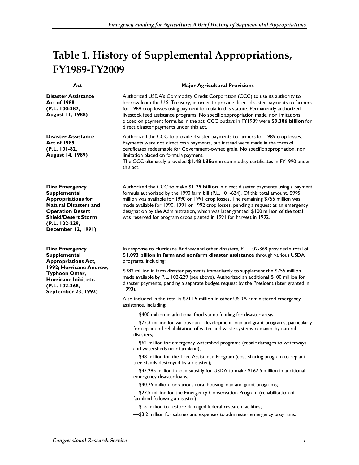## **Table 1. History of Supplemental Appropriations, FY1989-FY2009**

| Act                                                                                                                                                                                                        | <b>Major Agricultural Provisions</b>                                                                                                                                                                                                                                                                                                                                                                                                                                                                                          |  |
|------------------------------------------------------------------------------------------------------------------------------------------------------------------------------------------------------------|-------------------------------------------------------------------------------------------------------------------------------------------------------------------------------------------------------------------------------------------------------------------------------------------------------------------------------------------------------------------------------------------------------------------------------------------------------------------------------------------------------------------------------|--|
| <b>Disaster Assistance</b><br><b>Act of 1988</b><br>(P.L. 100-387,<br><b>August 11, 1988)</b>                                                                                                              | Authorized USDA's Commodity Credit Corporation (CCC) to use its authority to<br>borrow from the U.S. Treasury, in order to provide direct disaster payments to farmers<br>for 1988 crop losses using payment formula in this statute. Permanently authorized<br>livestock feed assistance programs. No specific appropriation made, nor limitations<br>placed on payment formulas in the act. CCC outlays in FY1989 were \$3.386 billion for<br>direct disaster payments under this act.                                      |  |
| <b>Disaster Assistance</b><br><b>Act of 1989</b><br>(P.L. 101-82,<br><b>August 14, 1989)</b>                                                                                                               | Authorized the CCC to provide disaster payments to farmers for 1989 crop losses.<br>Payments were not direct cash payments, but instead were made in the form of<br>certificates redeemable for Government-owned grain. No specific appropriation, nor<br>limitation placed on formula payment.<br>The CCC ultimately provided \$1.48 billion in commodity certificates in FY1990 under<br>this act.                                                                                                                          |  |
| <b>Dire Emergency</b><br><b>Supplemental</b><br><b>Appropriations for</b><br><b>Natural Disasters and</b><br><b>Operation Desert</b><br><b>Shield/Desert Storm</b><br>(P.L. 102-229,<br>December 12, 1991) | Authorized the CCC to make \$1.75 billion in direct disaster payments using a payment<br>formula authorized by the 1990 farm bill (P.L. 101-624). Of this total amount, \$995<br>million was available for 1990 or 1991 crop losses. The remaining \$755 million was<br>made available for 1990, 1991 or 1992 crop losses, pending a request as an emergency<br>designation by the Administration, which was later granted. \$100 million of the total<br>was reserved for program crops planted in 1991 for harvest in 1992. |  |
| <b>Dire Emergency</b><br><b>Supplemental</b><br><b>Appropriations Act,</b><br>1992; Hurricane Andrew,<br>Typhoon Omar,<br>Hurricane Iniki, etc.<br>(P.L. 102-368,                                          | In response to Hurricane Andrew and other disasters, P.L. 102-368 provided a total of<br>\$1.093 billion in farm and nonfarm disaster assistance through various USDA<br>programs, including:<br>\$382 million in farm disaster payments immediately to supplement the \$755 million<br>made available by P.L. 102-229 (see above). Authorized an additional \$100 million for<br>disaster payments, pending a separate budget request by the President (later granted in<br>1993).                                           |  |
| September 23, 1992)                                                                                                                                                                                        | Also included in the total is \$711.5 million in other USDA-administered emergency<br>assistance, including:                                                                                                                                                                                                                                                                                                                                                                                                                  |  |
|                                                                                                                                                                                                            | -\$400 million in additional food stamp funding for disaster areas;                                                                                                                                                                                                                                                                                                                                                                                                                                                           |  |
|                                                                                                                                                                                                            | -\$72.3 million for various rural development loan and grant programs, particularly<br>for repair and rehabilitation of water and waste systems damaged by natural<br>disasters;                                                                                                                                                                                                                                                                                                                                              |  |
|                                                                                                                                                                                                            | \$62 million for emergency watershed programs (repair damages to waterways<br>and watersheds near farmland);                                                                                                                                                                                                                                                                                                                                                                                                                  |  |
|                                                                                                                                                                                                            | -\$48 million for the Tree Assistance Program (cost-sharing program to replant<br>tree stands destroyed by a disaster);                                                                                                                                                                                                                                                                                                                                                                                                       |  |
|                                                                                                                                                                                                            | -\$43.285 million in loan subsidy for USDA to make \$162.5 million in additional<br>emergency disaster loans;                                                                                                                                                                                                                                                                                                                                                                                                                 |  |
|                                                                                                                                                                                                            | -\$40.25 million for various rural housing loan and grant programs;                                                                                                                                                                                                                                                                                                                                                                                                                                                           |  |
|                                                                                                                                                                                                            | -\$27.5 million for the Emergency Conservation Program (rehabilitation of<br>farmland following a disaster);                                                                                                                                                                                                                                                                                                                                                                                                                  |  |
|                                                                                                                                                                                                            | -\$15 million to restore damaged federal research facilities;                                                                                                                                                                                                                                                                                                                                                                                                                                                                 |  |
|                                                                                                                                                                                                            | -\$3.2 million for salaries and expenses to administer emergency programs.                                                                                                                                                                                                                                                                                                                                                                                                                                                    |  |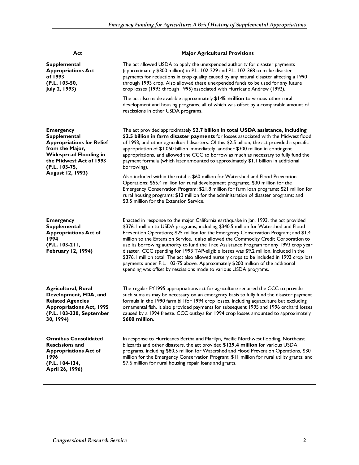| Act                                                                                                                                                                                             | <b>Major Agricultural Provisions</b>                                                                                                                                                                                                                                                                                                                                                                                                                                                                                                                                                                                                                                                                                                                                                                     |
|-------------------------------------------------------------------------------------------------------------------------------------------------------------------------------------------------|----------------------------------------------------------------------------------------------------------------------------------------------------------------------------------------------------------------------------------------------------------------------------------------------------------------------------------------------------------------------------------------------------------------------------------------------------------------------------------------------------------------------------------------------------------------------------------------------------------------------------------------------------------------------------------------------------------------------------------------------------------------------------------------------------------|
| <b>Supplemental</b><br><b>Appropriations Act</b><br>of 1993<br>(P.L. 103-50,<br>July 2, 1993)                                                                                                   | The act allowed USDA to apply the unexpended authority for disaster payments<br>(approximately \$300 million) in P.L. 102-229 and P.L. 102-368 to make disaster<br>payments for reductions in crop quality caused by any natural disaster affecting a 1990<br>through 1993 crop. Also allowed these unexpended funds to be used for any future<br>crop losses (1993 through 1995) associated with Hurricane Andrew (1992).                                                                                                                                                                                                                                                                                                                                                                               |
|                                                                                                                                                                                                 | The act also made available approximately \$145 million to various other rural<br>development and housing programs, all of which was offset by a comparable amount of<br>rescissions in other USDA programs.                                                                                                                                                                                                                                                                                                                                                                                                                                                                                                                                                                                             |
| <b>Emergency</b><br><b>Supplemental</b><br><b>Appropriations for Relief</b><br>from the Major,<br><b>Widespread Flooding in</b><br>the Midwest Act of 1993<br>(P.L. 103-75,<br>August 12, 1993) | The act provided approximately \$2.7 billion in total USDA assistance, including<br>\$2.5 billion in farm disaster payments for losses associated with the Midwest flood<br>of 1993, and other agricultural disasters. Of this \$2.5 billion, the act provided a specific<br>appropriation of \$1.050 billion immediately, another \$300 million in contingent<br>appropriations, and allowed the CCC to borrow as much as necessary to fully fund the<br>payment formula (which later amounted to approximately \$1.1 billion in additional<br>borrowing).                                                                                                                                                                                                                                              |
|                                                                                                                                                                                                 | Also included within the total is \$60 million for Watershed and Flood Prevention<br>Operations; \$55.4 million for rural development programs;. \$30 million for the<br>Emergency Conservation Program; \$21.8 million for farm loan programs; \$21 million for<br>rural housing programs; \$12 million for the administration of disaster programs; and<br>\$3.5 million for the Extension Service.                                                                                                                                                                                                                                                                                                                                                                                                    |
| <b>Emergency</b><br><b>Supplemental</b><br><b>Appropriations Act of</b><br>1994<br>(P.L. 103-211,<br><b>February 12, 1994)</b>                                                                  | Enacted in response to the major California earthquake in Jan. 1993, the act provided<br>\$376.1 million to USDA programs, including \$340.5 million for Watershed and Flood<br>Prevention Operations; \$25 million for the Emergency Conservation Program; and \$1.4<br>million to the Extension Service. It also allowed the Commodity Credit Corporation to<br>use its borrowing authority to fund the Tree Assistance Program for any 1993 crop year<br>disaster. CCC spending for 1993 TAP-eligible losses was \$9.2 million, included in the<br>\$376.1 million total. The act also allowed nursery crops to be included in 1993 crop loss<br>payments under P.L. 103-75 above. Approximately \$200 million of the additional<br>spending was offset by rescissions made to various USDA programs. |
| <b>Agricultural, Rural</b><br>Development, FDA, and<br><b>Related Agencies</b><br><b>Appropriations Act, 1995</b><br>(P.L. 103-330, September<br>30, 1994)                                      | The regular FY1995 appropriations act for agriculture required the CCC to provide<br>such sums as may be necessary on an emergency basis to fully fund the disaster payment<br>formula in the 1990 farm bill for 1994 crop losses, including aquaculture but excluding<br>ornamental fish. It also provided payments for subsequent 1995 and 1996 orchard losses<br>caused by a 1994 freeze. CCC outlays for 1994 crop losses amounted to approximately<br>\$600 million.                                                                                                                                                                                                                                                                                                                                |
| <b>Omnibus Consolidated</b><br><b>Rescissions and</b><br><b>Appropriations Act of</b><br>1996<br>(P.L. 104-134,<br>April 26, 1996)                                                              | In response to Hurricanes Bertha and Marilyn, Pacific Northwest flooding, Northeast<br>blizzards and other disasters, the act provided \$129.4 million for various USDA<br>programs, including \$80.5 million for Watershed and Flood Prevention Operations, \$30<br>million for the Emergency Conservation Program; \$11 million for rural utility grants; and<br>\$7.6 million for rural housing repair loans and grants.                                                                                                                                                                                                                                                                                                                                                                              |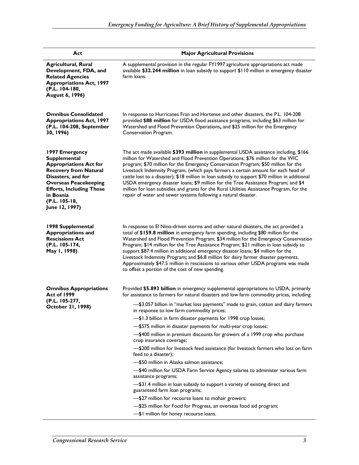| Act                                                                                                                                                                                                                                             | <b>Major Agricultural Provisions</b>                                                                                                                                                                                                                                                                                                                                                                                                                                                                                                                                                                                                                                                                                                                                                                                                                                                                                                                                                                                                                                                                                                 |  |
|-------------------------------------------------------------------------------------------------------------------------------------------------------------------------------------------------------------------------------------------------|--------------------------------------------------------------------------------------------------------------------------------------------------------------------------------------------------------------------------------------------------------------------------------------------------------------------------------------------------------------------------------------------------------------------------------------------------------------------------------------------------------------------------------------------------------------------------------------------------------------------------------------------------------------------------------------------------------------------------------------------------------------------------------------------------------------------------------------------------------------------------------------------------------------------------------------------------------------------------------------------------------------------------------------------------------------------------------------------------------------------------------------|--|
| <b>Agricultural, Rural</b><br>Development, FDA, and<br><b>Related Agencies</b><br><b>Appropriations Act, 1997</b><br>(P.L. 104-180,<br>August 6, 1996)                                                                                          | A supplemental provision in the regular FY1997 agriculture appropriations act made<br>available \$32.244 million in loan subsidy to support \$110 million in emergency disaster<br>farm loans.                                                                                                                                                                                                                                                                                                                                                                                                                                                                                                                                                                                                                                                                                                                                                                                                                                                                                                                                       |  |
| <b>Omnibus Consolidated</b><br><b>Appropriations Act, 1997</b><br>(P.L. 104-208, September<br>30, 1996)                                                                                                                                         | In response to Hurricanes Fran and Hortense and other disasters, the P.L. 104-208<br>provided \$88 million for USDA flood assistance programs, including \$63 million for<br>Watershed and Flood Prevention Operations, and \$25 million for the Emergency<br>Conservation Program.                                                                                                                                                                                                                                                                                                                                                                                                                                                                                                                                                                                                                                                                                                                                                                                                                                                  |  |
| 1997 Emergency<br><b>Supplemental</b><br><b>Appropriations Act for</b><br><b>Recovery from Natural</b><br>Disasters, and for<br><b>Overseas Peacekeeping</b><br><b>Efforts, Including Those</b><br>in Bosnia<br>(P.L. 105-18,<br>June 12, 1997) | The act made available \$393 million in supplemental USDA assistance including, \$166<br>million for Watershed and Flood Prevention Operations; \$76 million for the WIC<br>program; \$70 million for the Emergency Conservation Program; \$50 million for the<br>Livestock Indemnity Program, (which pays farmers a certain amount for each head of<br>cattle lost to a disaster); \$18 million in loan subsidy to support \$70 million in additional<br>USDA emergency disaster loans; \$9 million for the Tree Assistance Program; and \$4<br>million for loan subsidies and grants for the Rural Utilities Assistance Program, for the<br>repair of water and sewer systems following a natural disaster.                                                                                                                                                                                                                                                                                                                                                                                                                        |  |
| 1998 Supplemental<br><b>Appropriations and</b><br><b>Rescissions Act</b><br>(P.L. 105-174,<br>May 1, 1998)                                                                                                                                      | In response to El Nino-driven storms and other natural disasters, the act provided a<br>total of \$159.8 million in emergency farm spending, including \$80 million for the<br>Watershed and Flood Prevention Program; \$34 million for the Emergency Conservation<br>Program; \$14 million for the Tree Assistance Program; \$21 million in loan subsidy to<br>support \$87.4 million in additional emergency disaster loans; \$4 million for the<br>Livestock Indemnity Program; and \$6.8 million for dairy farmer disaster payments.<br>Approximately \$47.5 million in rescissions to various other USDA programs was made<br>to offset a portion of the cost of new spending.                                                                                                                                                                                                                                                                                                                                                                                                                                                  |  |
| <b>Omnibus Appropriations</b><br>Act of 1999<br>(P.L. 105-277,<br>October 21, 1998)                                                                                                                                                             | Provided \$5.893 billion in emergency supplemental appropriations to USDA, primarily<br>for assistance to farmers for natural disasters and low farm commodity prices, including:<br>-\$3.057 billion in "market loss payments" made to grain, cotton and dairy farmers<br>in response to low farm commodity prices;<br>-\$1.3 billion in farm disaster payments for 1998 crop losses;<br>-\$575 million in disaster payments for multi-year crop losses;<br>-\$400 million in premium discounts for growers of a 1999 crop who purchase<br>crop insurance coverage;<br>-\$200 million for livestock feed assistance (for livestock farmers who lost on farm<br>feed to a disaster);<br>-\$50 million in Alaska salmon assistance;<br>-\$40 million for USDA Farm Service Agency salaries to administer various farm<br>assistance programs;<br>-\$31.4 million in loan subsidy to support a variety of existing direct and<br>guaranteed farm loan programs;<br>-\$27 million for recourse loans to mohair growers;<br>-\$25 million for Food for Progress, an overseas food aid program;<br>-\$1 million for honey recourse loans. |  |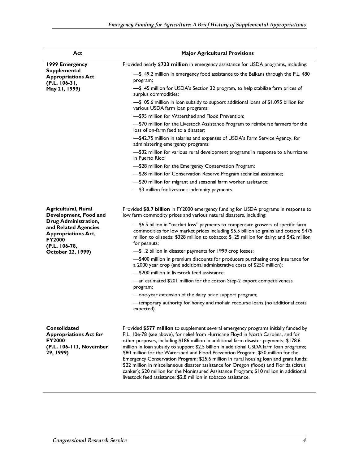| <b>Major Agricultural Provisions</b>                                                                                                                                                                                                                                                                                                                                                                                                                                                                                                                                                                                                                                                                                                |  |
|-------------------------------------------------------------------------------------------------------------------------------------------------------------------------------------------------------------------------------------------------------------------------------------------------------------------------------------------------------------------------------------------------------------------------------------------------------------------------------------------------------------------------------------------------------------------------------------------------------------------------------------------------------------------------------------------------------------------------------------|--|
| Provided nearly \$723 million in emergency assistance for USDA programs, including:                                                                                                                                                                                                                                                                                                                                                                                                                                                                                                                                                                                                                                                 |  |
| -\$149.2 million in emergency food assistance to the Balkans through the P.L. 480<br>program;<br>-\$145 million for USDA's Section 32 program, to help stabilize farm prices of                                                                                                                                                                                                                                                                                                                                                                                                                                                                                                                                                     |  |
| surplus commodities;                                                                                                                                                                                                                                                                                                                                                                                                                                                                                                                                                                                                                                                                                                                |  |
| -\$105.6 million in loan subsidy to support additional loans of \$1.095 billion for<br>various USDA farm loan programs;                                                                                                                                                                                                                                                                                                                                                                                                                                                                                                                                                                                                             |  |
| -\$95 million for Watershed and Flood Prevention;                                                                                                                                                                                                                                                                                                                                                                                                                                                                                                                                                                                                                                                                                   |  |
| -\$70 million for the Livestock Assistance Program to reimburse farmers for the<br>loss of on-farm feed to a disaster:                                                                                                                                                                                                                                                                                                                                                                                                                                                                                                                                                                                                              |  |
| -\$42.75 million in salaries and expenses of USDA's Farm Service Agency, for<br>administering emergency programs;                                                                                                                                                                                                                                                                                                                                                                                                                                                                                                                                                                                                                   |  |
| -\$32 million for various rural development programs in response to a hurricane<br>in Puerto Rico;                                                                                                                                                                                                                                                                                                                                                                                                                                                                                                                                                                                                                                  |  |
| -\$28 million for the Emergency Conservation Program;                                                                                                                                                                                                                                                                                                                                                                                                                                                                                                                                                                                                                                                                               |  |
| -\$28 million for Conservation Reserve Program technical assistance;                                                                                                                                                                                                                                                                                                                                                                                                                                                                                                                                                                                                                                                                |  |
| -\$20 million for migrant and seasonal farm worker assistance;                                                                                                                                                                                                                                                                                                                                                                                                                                                                                                                                                                                                                                                                      |  |
| -\$3 million for livestock indemnity payments.                                                                                                                                                                                                                                                                                                                                                                                                                                                                                                                                                                                                                                                                                      |  |
| Provided \$8.7 billion in FY2000 emergency funding for USDA programs in response to<br>low farm commodity prices and various natural disasters, including:                                                                                                                                                                                                                                                                                                                                                                                                                                                                                                                                                                          |  |
| -\$6.5 billion in "market loss" payments to compensate growers of specific farm<br>commodities for low market prices including \$5.5 billion to grains and cotton; \$475<br>million to oilseeds; \$328 million to tobacco; \$125 million for dairy; and \$42 million<br>for peanuts;                                                                                                                                                                                                                                                                                                                                                                                                                                                |  |
| -\$1.2 billion in disaster payments for 1999 crop losses;                                                                                                                                                                                                                                                                                                                                                                                                                                                                                                                                                                                                                                                                           |  |
| -\$400 million in premium discounts for producers purchasing crop insurance for<br>a 2000 year crop (and additional administrative costs of \$250 million);                                                                                                                                                                                                                                                                                                                                                                                                                                                                                                                                                                         |  |
| -\$200 million in livestock feed assistance;                                                                                                                                                                                                                                                                                                                                                                                                                                                                                                                                                                                                                                                                                        |  |
| -an estimated \$201 million for the cotton Step-2 export competitiveness<br>program;                                                                                                                                                                                                                                                                                                                                                                                                                                                                                                                                                                                                                                                |  |
| -one-year extension of the dairy price support program;                                                                                                                                                                                                                                                                                                                                                                                                                                                                                                                                                                                                                                                                             |  |
| -temporary authority for honey and mohair recourse loans (no additional costs<br>expected).                                                                                                                                                                                                                                                                                                                                                                                                                                                                                                                                                                                                                                         |  |
| Provided \$577 million to supplement several emergency programs initially funded by<br>P.L. 106-78 (see above), for relief from Hurricane Floyd in North Carolina, and for<br>other purposes, including \$186 million in additional farm disaster payments; \$178.6<br>million in loan subsidy to support \$2.5 billion in additional USDA farm loan programs;<br>\$80 million for the Watershed and Flood Prevention Program; \$50 million for the<br>Emergency Conservation Program; \$25.6 million in rural housing loan and grant funds;<br>\$22 million in miscellaneous disaster assistance for Oregon (flood) and Florida (citrus<br>canker); \$20 million for the Noninsured Assistance Program; \$10 million in additional |  |
|                                                                                                                                                                                                                                                                                                                                                                                                                                                                                                                                                                                                                                                                                                                                     |  |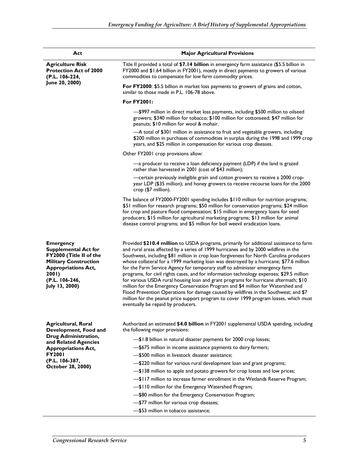| Act                                                                                                                                                                                       | <b>Major Agricultural Provisions</b>                                                                                                                                                                                                                                                                                                                                                                                                                                                                                                                                                                                                                                                                                                                                                                                                                                                                                                                 |  |
|-------------------------------------------------------------------------------------------------------------------------------------------------------------------------------------------|------------------------------------------------------------------------------------------------------------------------------------------------------------------------------------------------------------------------------------------------------------------------------------------------------------------------------------------------------------------------------------------------------------------------------------------------------------------------------------------------------------------------------------------------------------------------------------------------------------------------------------------------------------------------------------------------------------------------------------------------------------------------------------------------------------------------------------------------------------------------------------------------------------------------------------------------------|--|
| <b>Agriculture Risk</b><br><b>Protection Act of 2000</b><br>(P.L. 106-224,<br>June 20, 2000)                                                                                              | Title II provided a total of \$7.14 billion in emergency farm assistance (\$5.5 billion in<br>FY2000 and \$1.64 billion in FY2001), mostly in direct payments to growers of various<br>commodities to compensate for low farm commodity prices.                                                                                                                                                                                                                                                                                                                                                                                                                                                                                                                                                                                                                                                                                                      |  |
|                                                                                                                                                                                           | For FY2000: \$5.5 billion in market loss payments to growers of grains and cotton,<br>similar to those made in P.L. 106-78 above.                                                                                                                                                                                                                                                                                                                                                                                                                                                                                                                                                                                                                                                                                                                                                                                                                    |  |
|                                                                                                                                                                                           | <b>For FY2001:</b>                                                                                                                                                                                                                                                                                                                                                                                                                                                                                                                                                                                                                                                                                                                                                                                                                                                                                                                                   |  |
|                                                                                                                                                                                           | -\$997 million in direct market loss payments, including \$500 million to oilseed<br>growers; \$340 million for tobacco; \$100 million for cottonseed; \$47 million for<br>peanuts; \$10 million for wool & mohair.                                                                                                                                                                                                                                                                                                                                                                                                                                                                                                                                                                                                                                                                                                                                  |  |
|                                                                                                                                                                                           | -A total of \$301 million in assistance to fruit and vegetable growers, including<br>\$200 million in purchases of commodities in surplus during the 1998 and 1999 crop<br>years, and \$25 million in compensation for various crop diseases.                                                                                                                                                                                                                                                                                                                                                                                                                                                                                                                                                                                                                                                                                                        |  |
|                                                                                                                                                                                           | Other FY2001 crop provisions allow:                                                                                                                                                                                                                                                                                                                                                                                                                                                                                                                                                                                                                                                                                                                                                                                                                                                                                                                  |  |
|                                                                                                                                                                                           | -a producer to receive a loan deficiency payment (LDP) if the land is grazed<br>rather than harvested in 2001 (cost of \$43 million);                                                                                                                                                                                                                                                                                                                                                                                                                                                                                                                                                                                                                                                                                                                                                                                                                |  |
|                                                                                                                                                                                           | -certain previously ineligible grain and cotton growers to receive a 2000 crop-<br>year LDP (\$35 million); and honey growers to receive recourse loans for the 2000<br>$\text{crop}$ (\$7 million).                                                                                                                                                                                                                                                                                                                                                                                                                                                                                                                                                                                                                                                                                                                                                 |  |
|                                                                                                                                                                                           | The balance of FY2000-FY2001 spending includes \$110 million for nutrition programs;<br>\$51 million for research programs; \$50 million for conservation programs; \$24 million<br>for crop and pasture flood compensation; \$15 million in emergency loans for seed<br>producers; \$15 million for agricultural marketing programs; \$13 million for animal<br>disease control programs; and \$5 million for boll weevil eradication loans.                                                                                                                                                                                                                                                                                                                                                                                                                                                                                                        |  |
| <b>Emergency</b><br><b>Supplemental Act for</b><br>FY2000 (Title II of the<br><b>Military Construction</b><br><b>Appropriations Act,</b><br>200I)<br>(P.L. 106-246,<br>July 13, 2000)     | Provided \$210.4 million to USDA programs, primarily for additional assistance to farm<br>and rural areas affected by a series of 1999 hurricanes and by 2000 wildfires in the<br>Southwest, including \$81 million in crop loan forgiveness for North Carolina producers<br>whose collateral for a 1999 marketing loan was destroyed by a hurricane; \$77.6 million<br>for the Farm Service Agency for temporary staff to administer emergency farm<br>programs, for civil rights cases, and for information technology expenses; \$29.5 million<br>for various USDA rural housing loan and grant programs for hurricane aftermath; \$10<br>million for the Emergency Conservation Program and \$4 million for Watershed and<br>Flood Prevention Operations for damage caused by wildfires in the Southwest; and \$7<br>million for the peanut price support program to cover 1999 program losses, which must<br>eventually be repaid by producers. |  |
| <b>Agricultural, Rural</b><br>Development, Food and<br>Drug Administration,<br>and Related Agencies<br><b>Appropriations Act,</b><br><b>FY2001</b><br>(P.L. 106-387,<br>October 28, 2000) | Authorized an estimated \$4.0 billion in FY2001 supplemental USDA spending, including<br>the following major provisions:<br>-\$1.8 billion in natural disaster payments for 2000 crop losses;<br>-\$675 million in income assistance payments to dairy farmers;<br>-\$500 million in livestock disaster assistance;<br>-\$220 million for various rural development loan and grant programs;<br>-\$138 million to apple and potato growers for crop losses and low prices;<br>-\$117 million to increase farmer enrollment in the Wetlands Reserve Program;<br>-\$110 million for the Emergency Watershed Program;<br>-\$80 million for the Emergency Conservation Program;<br>-\$77 million for various crop diseases;<br>-\$53 million in tobacco assistance;                                                                                                                                                                                      |  |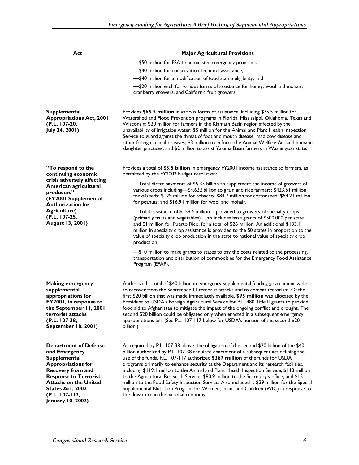| Act                                                                                                                                                                                                                                                             | <b>Major Agricultural Provisions</b>                                                                                                                                                                                                                                                                                                                                                                                                                                                                                                                                                                                                                                                                                                                                                |  |
|-----------------------------------------------------------------------------------------------------------------------------------------------------------------------------------------------------------------------------------------------------------------|-------------------------------------------------------------------------------------------------------------------------------------------------------------------------------------------------------------------------------------------------------------------------------------------------------------------------------------------------------------------------------------------------------------------------------------------------------------------------------------------------------------------------------------------------------------------------------------------------------------------------------------------------------------------------------------------------------------------------------------------------------------------------------------|--|
|                                                                                                                                                                                                                                                                 | -\$50 million for FSA to administer emergency programs                                                                                                                                                                                                                                                                                                                                                                                                                                                                                                                                                                                                                                                                                                                              |  |
|                                                                                                                                                                                                                                                                 | -\$40 million for conservation technical assistance;                                                                                                                                                                                                                                                                                                                                                                                                                                                                                                                                                                                                                                                                                                                                |  |
|                                                                                                                                                                                                                                                                 | -\$40 million for a modification of food stamp eligibility; and                                                                                                                                                                                                                                                                                                                                                                                                                                                                                                                                                                                                                                                                                                                     |  |
|                                                                                                                                                                                                                                                                 | -\$20 million each for various forms of assistance for honey, wool and mohair,<br>cranberry growers, and California fruit growers.                                                                                                                                                                                                                                                                                                                                                                                                                                                                                                                                                                                                                                                  |  |
| <b>Supplemental</b><br><b>Appropriations Act, 2001</b><br>(P.L. 107-20,<br>July 24, 2001)                                                                                                                                                                       | Provides \$65.5 million in various forms of assistance, including \$35.5 million for<br>Watershed and Flood Prevention programs in Florida, Mississippi, Oklahoma, Texas and<br>Wisconsin; \$20 million for farmers in the Klamath Basin region affected by the<br>unavailability of irrigation water; \$5 million for the Animal and Plant Health Inspection<br>Service to guard against the threat of foot and mouth disease, mad cow disease and<br>other foreign animal diseases; \$3 million to enforce the Animal Welfare Act and humane<br>slaughter practices; and \$2 million to assist Yakima Basin farmers in Washington state.                                                                                                                                          |  |
| "To respond to the<br>continuing economic<br>crisis adversely affecting<br>American agricultural<br>producers"<br>(FY2001 Supplemental<br><b>Authorization for</b><br><b>Agriculture)</b><br>(P.L. 107-25,<br>August 13, 2001)                                  | Provides a total of \$5.5 billion in emergency FY2001 income assistance to farmers, as<br>permitted by the FY2002 budget resolution:                                                                                                                                                                                                                                                                                                                                                                                                                                                                                                                                                                                                                                                |  |
|                                                                                                                                                                                                                                                                 | -Total direct payments of \$5.33 billion to supplement the income of growers of<br>various crops including-\$4.622 billion to grain and rice farmers; \$423.51 million<br>for oilseeds; \$129 million for tobacco; \$84.7 million for cottonseed; \$54.21 million<br>for peanuts; and \$16.94 million for wool and mohair.                                                                                                                                                                                                                                                                                                                                                                                                                                                          |  |
|                                                                                                                                                                                                                                                                 | -Total assistance of \$159.4 million is provided to growers of specialty crops<br>(primarily fruits and vegetables). This includes base grants of \$500,000 per state<br>and \$1 million for Puerto Rico, for a total of \$26 million. An additional \$133.4<br>million in specialty crop assistance is provided to the 50 states in proportion to the<br>value of specialty crop production in the state to national value of specialty crop<br>production.                                                                                                                                                                                                                                                                                                                        |  |
|                                                                                                                                                                                                                                                                 | -\$10 million to make grants to states to pay the costs related to the processing,<br>transportation and distribution of commodities for the Emergency Food Assistance<br>Program (EFAP).                                                                                                                                                                                                                                                                                                                                                                                                                                                                                                                                                                                           |  |
| <b>Making emergency</b><br>supplemental<br>appropriations for<br><b>FY2001, in response to</b><br>the September 11, 2001<br>terrorist attacks<br>(P.L. 107-38,<br>September 18, 2001)                                                                           | Authorized a total of \$40 billion in emergency supplemental funding government-wide<br>to recover from the September 11 terrorist attacks and to combat terrorism. Of the<br>first \$20 billion that was made immediately available, \$95 million was allocated by the<br>President to USDA's Foreign Agricultural Service for P.L. 480 Title II grants to provide<br>food aid to Afghanistan to mitigate the impact of the ongoing conflict and drought. The<br>second \$20 billion could be obligated only when enacted in a subsequent emergency<br>appropriations bill. (See P.L. 107-117 below for USDA's portion of the second \$20<br>billion.)                                                                                                                             |  |
| <b>Department of Defense</b><br>and Emergency<br><b>Supplemental</b><br><b>Appropriations for</b><br><b>Recovery from and</b><br><b>Response to Terrorist</b><br><b>Attacks on the United</b><br>States Act, 2002<br>(P.L. 107-117,<br><b>January 10, 2002)</b> | As required by P.L. 107-38 above, the obligation of the second \$20 billion of the \$40<br>billion authorized by P.L. 107-38 required enactment of a subsequent act defining the<br>use of the funds. P.L. 107-117 authorized \$367 million of the funds for USDA<br>programs primarily to enhance security at the Department and its research facilities,<br>including \$119.1 million to the Animal and Plant Health Inspection Service; \$113 million<br>to the Agricultural Research Service; \$80.9 million to the Secretary's office; and \$15<br>million to the Food Safety Inspection Service. Also included is \$39 million for the Special<br>Supplemental Nutrition Program for Women, Infant and Children (WIC) in response to<br>the downturn in the national economy. |  |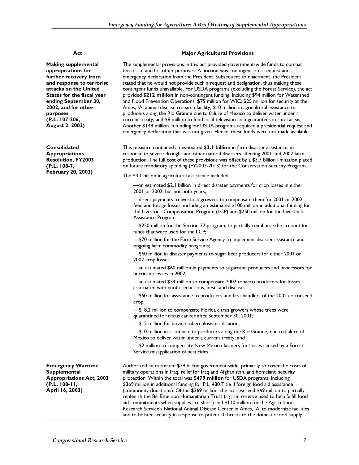#### **Act Major Agricultural Provisions Making supplemental appropriations for further recovery from and response to terrorist attacks on the United States for the fiscal year ending September 30, 2002, and for other purposes (P.L. 107-206, August 2, 2002)**  The supplemental provisions in this act provided government-wide funds to combat terrorism and for other purposes. A portion was contingent on a request and emergency declaration from the President. Subsequent to enactment, the President stated that he would not provide such a request and designation, thus making these contingent funds unavailable. For USDA programs (excluding the Forest Service), the act provided **\$212 million** in non-contingent funding, including \$94 million for Watershed and Flood Prevention Operations; \$75 million for WIC; \$25 million for security at the Ames, IA, animal disease research facility; \$10 million in agricultural assistance to producers along the Rio Grande due to failure of Mexico to deliver water under a current treaty; and \$8 million to fund local television loan guarantees in rural areas. Another \$148 million in funding for USDA programs required a presidential request and emergency declaration that was not given. Hence, these funds were not made available. **Consolidated Appropriations Resolution, FY2003 (P.L. 108-7, February 20, 2003)**  This measure contained an estimated **\$3.1 billion** in farm disaster assistance, in response to severe drought and other natural disasters affecting 2001 and 2002 farm production. The full cost of these provisions was offset by a \$3.7 billion limitation placed on future mandatory spending (FY2003-2013) for the Conservation Security Program. The \$3.1 billion in agricultural assistance included: —an estimated \$2.1 billion in direct disaster payments for crop losses in either 2001 or 2002, but not both years; —direct payments to livestock growers to compensate them for 2001 or 2002 feed and forage losses, including an estimated \$100 million in additional funding for the Livestock Compensation Program (LCP) and \$250 million for the Livestock Assistance Program; —\$250 million for the Section 32 program, to partially reimburse the account for funds that were used for the LCP; —\$70 million for the Farm Service Agency to implement disaster assistance and ongoing farm commodity programs; —\$60 million in disaster payments to sugar beet producers for either 2001 or 2002 crop losses; —an estimated \$60 million in payments to sugarcane producers and processors for hurricane losses in 2002; —an estimated \$54 million to compensate 2002 tobacco producers for losses associated with quota reductions, pests and diseases; —\$50 million for assistance to producers and first handlers of the 2002 cottonseed crop; —\$18.2 million to compensate Florida citrus growers whose trees were quarantined for citrus canker after September 30, 2001; —\$15 million for bovine tuberculosis eradication; —\$10 million in assistance to producers along the Rio Grande, due to failure of Mexico to deliver water under a current treaty; and

—\$2 million to compensate New Mexico farmers for losses caused by a Forest Service misapplication of pesticides.

 Authorized an estimated \$79 billion government-wide, primarily to cover the costs of military operations in Iraq, relief for Iraq and Afghanistan, and homeland security protection. Within the total was **\$479 million** for USDA programs, including \$369 million in additional funding for P.L. 480 Title II foreign food aid assistance (commodity donations). Of the \$369 million, the act reserved \$69 million to partially replenish the Bill Emerson Humanitarian Trust (a grain reserve used to help fulfill food aid commitments when supplies are short) and \$110 million for the Agricultural Research Service's National Animal Disease Center in Ames, IA, to modernize facilities and to bolster security in response to potential threats to the domestic food supply.

**Emergency Wartime Supplemental Appropriations Act, 2003 (P.L. 108-11, April 16, 2003)**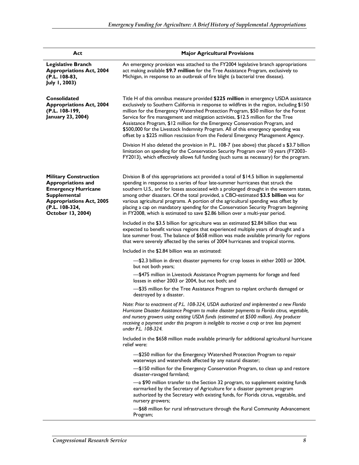| Act                                                                                                                                                                                      | <b>Major Agricultural Provisions</b>                                                                                                                                                                                                                                                                                                                                                                                                                                                                                                                                                                                           |  |
|------------------------------------------------------------------------------------------------------------------------------------------------------------------------------------------|--------------------------------------------------------------------------------------------------------------------------------------------------------------------------------------------------------------------------------------------------------------------------------------------------------------------------------------------------------------------------------------------------------------------------------------------------------------------------------------------------------------------------------------------------------------------------------------------------------------------------------|--|
| <b>Legislative Branch</b><br><b>Appropriations Act, 2004</b><br>(P.L. 108-83,<br>July 1, 2003)                                                                                           | An emergency provision was attached to the FY2004 legislative branch appropriations<br>act making available \$9.7 million for the Tree Assistance Program, exclusively to<br>Michigan, in response to an outbreak of fire blight (a bacterial tree disease).                                                                                                                                                                                                                                                                                                                                                                   |  |
| Consolidated<br><b>Appropriations Act, 2004</b><br>(P.L. 108-199,<br>January 23, 2004)                                                                                                   | Title H of this omnibus measure provided \$225 million in emergency USDA assistance<br>exclusively to Southern California in response to wildfires in the region, including \$150<br>million for the Emergency Watershed Protection Program, \$50 million for the Forest<br>Service for fire management and mitigation activities, \$12.5 million for the Tree<br>Assistance Program, \$12 million for the Emergency Conservation Program, and<br>\$500,000 for the Livestock Indemnity Program. All of this emergency spending was<br>offset by a \$225 million rescission from the Federal Emergency Management Agency.      |  |
|                                                                                                                                                                                          | Division H also deleted the provision in P.L. 108-7 (see above) that placed a \$3.7 billion<br>limitation on spending for the Conservation Security Program over 10 years (FY2003-<br>FY2013), which effectively allows full funding (such sums as necessary) for the program.                                                                                                                                                                                                                                                                                                                                                 |  |
| <b>Military Construction</b><br><b>Appropriations and</b><br><b>Emergency Hurricane</b><br><b>Supplemental</b><br><b>Appropriations Act, 2005</b><br>(P.L. 108-324,<br>October 13, 2004) | Division B of this appropriations act provided a total of \$14.5 billion in supplemental<br>spending in response to a series of four late-summer hurricanes that struck the<br>southern U.S., and for losses associated with a prolonged drought in the western states,<br>among other disasters. Of the total provided, a CBO-estimated \$3.5 billion was for<br>various agricultural programs. A portion of the agricultural spending was offset by<br>placing a cap on mandatory spending for the Conservation Security Program beginning<br>in FY2008, which is estimated to save \$2.86 billion over a multi-year period. |  |
|                                                                                                                                                                                          | Included in the \$3.5 billion for agriculture was an estimated \$2.84 billion that was<br>expected to benefit various regions that experienced multiple years of drought and a<br>late summer frost. The balance of \$658 million was made available primarily for regions<br>that were severely affected by the series of 2004 hurricanes and tropical storms.                                                                                                                                                                                                                                                                |  |
|                                                                                                                                                                                          | Included in the \$2.84 billion was an estimated:                                                                                                                                                                                                                                                                                                                                                                                                                                                                                                                                                                               |  |
|                                                                                                                                                                                          | -\$2.3 billion in direct disaster payments for crop losses in either 2003 or 2004,<br>but not both years;                                                                                                                                                                                                                                                                                                                                                                                                                                                                                                                      |  |
|                                                                                                                                                                                          | -\$475 million in Livestock Assistance Program payments for forage and feed<br>losses in either 2003 or 2004, but not both; and                                                                                                                                                                                                                                                                                                                                                                                                                                                                                                |  |
|                                                                                                                                                                                          | -\$35 million for the Tree Assistance Program to replant orchards damaged or<br>destroyed by a disaster.                                                                                                                                                                                                                                                                                                                                                                                                                                                                                                                       |  |
|                                                                                                                                                                                          | Note: Prior to enactment of P.L. 108-324, USDA authorized and implemented a new Florida<br>Hurricane Disaster Assistance Program to make disaster payments to Florida citrus, vegetable,<br>and nursery growers using existing USDA funds (estimated at \$500 million). Any producer<br>receiving a payment under this program is ineligible to receive a crop or tree loss payment<br>under P.L. 108-324.                                                                                                                                                                                                                     |  |
|                                                                                                                                                                                          | Included in the \$658 million made available primarily for additional agricultural hurricane<br>relief were:                                                                                                                                                                                                                                                                                                                                                                                                                                                                                                                   |  |
|                                                                                                                                                                                          | -\$250 million for the Emergency Watershed Protection Program to repair<br>waterways and watersheds affected by any natural disaster;                                                                                                                                                                                                                                                                                                                                                                                                                                                                                          |  |
|                                                                                                                                                                                          | -\$150 million for the Emergency Conservation Program, to clean up and restore<br>disaster-ravaged farmland;                                                                                                                                                                                                                                                                                                                                                                                                                                                                                                                   |  |
|                                                                                                                                                                                          | -a \$90 million transfer to the Section 32 program, to supplement existing funds<br>earmarked by the Secretary of Agriculture for a disaster payment program<br>authorized by the Secretary with existing funds, for Florida citrus, vegetable, and<br>nursery growers;                                                                                                                                                                                                                                                                                                                                                        |  |
|                                                                                                                                                                                          | -\$68 million for rural infrastructure through the Rural Community Advancement<br>Program;                                                                                                                                                                                                                                                                                                                                                                                                                                                                                                                                     |  |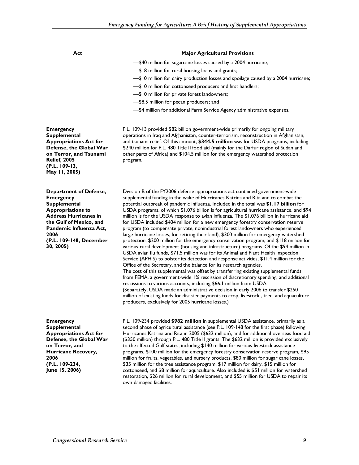| Act                                                                                                                                                                                                                                        | <b>Major Agricultural Provisions</b>                                                                                                                                                                                                                                                                                                                                                                                                                                                                                                                                                                                                                                                                                                                                                                                                                                                                                                                                                                                                                                                                                                                                                                                                                                                                                                                                                                                                                                                                                                                                                                                                                                       |
|--------------------------------------------------------------------------------------------------------------------------------------------------------------------------------------------------------------------------------------------|----------------------------------------------------------------------------------------------------------------------------------------------------------------------------------------------------------------------------------------------------------------------------------------------------------------------------------------------------------------------------------------------------------------------------------------------------------------------------------------------------------------------------------------------------------------------------------------------------------------------------------------------------------------------------------------------------------------------------------------------------------------------------------------------------------------------------------------------------------------------------------------------------------------------------------------------------------------------------------------------------------------------------------------------------------------------------------------------------------------------------------------------------------------------------------------------------------------------------------------------------------------------------------------------------------------------------------------------------------------------------------------------------------------------------------------------------------------------------------------------------------------------------------------------------------------------------------------------------------------------------------------------------------------------------|
|                                                                                                                                                                                                                                            | -\$40 million for sugarcane losses caused by a 2004 hurricane;                                                                                                                                                                                                                                                                                                                                                                                                                                                                                                                                                                                                                                                                                                                                                                                                                                                                                                                                                                                                                                                                                                                                                                                                                                                                                                                                                                                                                                                                                                                                                                                                             |
|                                                                                                                                                                                                                                            | -\$18 million for rural housing loans and grants;                                                                                                                                                                                                                                                                                                                                                                                                                                                                                                                                                                                                                                                                                                                                                                                                                                                                                                                                                                                                                                                                                                                                                                                                                                                                                                                                                                                                                                                                                                                                                                                                                          |
|                                                                                                                                                                                                                                            | -\$10 million for dairy production losses and spoilage caused by a 2004 hurricane;                                                                                                                                                                                                                                                                                                                                                                                                                                                                                                                                                                                                                                                                                                                                                                                                                                                                                                                                                                                                                                                                                                                                                                                                                                                                                                                                                                                                                                                                                                                                                                                         |
|                                                                                                                                                                                                                                            | -\$10 million for cottonseed producers and first handlers;                                                                                                                                                                                                                                                                                                                                                                                                                                                                                                                                                                                                                                                                                                                                                                                                                                                                                                                                                                                                                                                                                                                                                                                                                                                                                                                                                                                                                                                                                                                                                                                                                 |
|                                                                                                                                                                                                                                            | -\$10 million for private forest landowners;                                                                                                                                                                                                                                                                                                                                                                                                                                                                                                                                                                                                                                                                                                                                                                                                                                                                                                                                                                                                                                                                                                                                                                                                                                                                                                                                                                                                                                                                                                                                                                                                                               |
|                                                                                                                                                                                                                                            | -\$8.5 million for pecan producers; and                                                                                                                                                                                                                                                                                                                                                                                                                                                                                                                                                                                                                                                                                                                                                                                                                                                                                                                                                                                                                                                                                                                                                                                                                                                                                                                                                                                                                                                                                                                                                                                                                                    |
|                                                                                                                                                                                                                                            | -\$4 million for additional Farm Service Agency administrative expenses.                                                                                                                                                                                                                                                                                                                                                                                                                                                                                                                                                                                                                                                                                                                                                                                                                                                                                                                                                                                                                                                                                                                                                                                                                                                                                                                                                                                                                                                                                                                                                                                                   |
| <b>Emergency</b><br><b>Supplemental</b><br><b>Appropriations Act for</b><br>Defense, the Global War<br>on Terror, and Tsunami<br><b>Relief, 2005</b><br>(P.L. 109-13,<br>May 11, 2005)                                                     | P.L. 109-13 provided \$82 billion government-wide primarily for ongoing military<br>operations in Iraq and Afghanistan, counter-terrorism, reconstruction in Afghanistan,<br>and tsunami relief. Of this amount, \$344.5 million was for USDA programs, including<br>\$240 million for P.L. 480 Title II food aid (mainly for the Darfur region of Sudan and<br>other parts of Africa) and \$104.5 million for the emergency watershed protection<br>program.                                                                                                                                                                                                                                                                                                                                                                                                                                                                                                                                                                                                                                                                                                                                                                                                                                                                                                                                                                                                                                                                                                                                                                                                              |
| <b>Department of Defense,</b><br><b>Emergency</b><br><b>Supplemental</b><br><b>Appropriations to</b><br><b>Address Hurricanes in</b><br>the Gulf of Mexico, and<br>Pandemic Influenza Act,<br>2006<br>(P.L. 109-148, December<br>30, 2005) | Division B of the FY2006 defense appropriations act contained government-wide<br>supplemental funding in the wake of Hurricanes Katrina and Rita and to combat the<br>potential outbreak of pandemic influenza. Included in the total was \$1.17 billion for<br>USDA programs, of which \$1.076 billion is for agricultural hurricane assistance, and \$94<br>million is for the USDA response to avian influenza. The \$1.076 billion in hurricane aid<br>for USDA included \$404 million for a new emergency forestry conservation reserve<br>program (to compensate private, nonindustrial forest landowners who experienced<br>large hurricane losses, for retiring their land), \$300 million for emergency watershed<br>protection, \$200 million for the emergency conservation program, and \$118 million for<br>various rural development (housing and infrastructure) programs. Of the \$94 million in<br>USDA avian flu funds, \$71.5 million was for its Animal and Plant Health Inspection<br>Service (APHIS) to bolster its detection and response activities, \$11.4 million for the<br>Office of the Secretary, and the balance for its research agencies.<br>The cost of this supplemental was offset by transferring existing supplemental funds<br>from FEMA, a government-wide 1% rescission of discretionary spending, and additional<br>rescissions to various accounts, including \$66.1 million from USDA.<br>(Separately, USDA made an administrative decision in early 2006 to transfer \$250<br>million of existing funds for disaster payments to crop, livestock, tree, and aquaculture<br>producers, exclusively for 2005 hurricane losses.) |
| <b>Emergency</b><br><b>Supplemental</b><br><b>Appropriations Act for</b><br>Defense, the Global War<br>on Terror, and<br>Hurricane Recovery,<br>2006<br>(P.L. 109-234,<br>June 15, 2006)                                                   | P.L. 109-234 provided \$982 million in supplemental USDA assistance, primarily as a<br>second phase of agricultural assistance (see P.L. 109-148 for the first phase) following<br>Hurricanes Katrina and Rita in 2005 (\$632 million), and for additional overseas food aid<br>(\$350 million) through P.L. 480 Title II grants. The \$632 million is provided exclusively<br>to the affected Gulf states, including \$140 million for various livestock assistance<br>programs, \$100 million for the emergency forestry conservation reserve program, \$95<br>million for fruits, vegetables, and nursery products, \$80 million for sugar cane losses,<br>\$35 million for the tree assistance program, \$17 million for dairy, \$15 million for<br>cottonseed, and \$8 million for aquaculture. Also included is \$51 million for watershed<br>restoration, \$26 million for rural development, and \$55 million for USDA to repair its<br>own damaged facilities.                                                                                                                                                                                                                                                                                                                                                                                                                                                                                                                                                                                                                                                                                                    |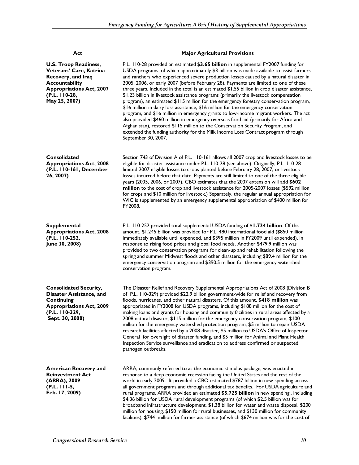| Act                                                                                                                                                                         | <b>Major Agricultural Provisions</b>                                                                                                                                                                                                                                                                                                                                                                                                                                                                                                                                                                                                                                                                                                                                                                                                                                                                                                                                                                                                                                                                                  |  |
|-----------------------------------------------------------------------------------------------------------------------------------------------------------------------------|-----------------------------------------------------------------------------------------------------------------------------------------------------------------------------------------------------------------------------------------------------------------------------------------------------------------------------------------------------------------------------------------------------------------------------------------------------------------------------------------------------------------------------------------------------------------------------------------------------------------------------------------------------------------------------------------------------------------------------------------------------------------------------------------------------------------------------------------------------------------------------------------------------------------------------------------------------------------------------------------------------------------------------------------------------------------------------------------------------------------------|--|
| <b>U.S. Troop Readiness,</b><br>Veterans' Care, Katrina<br>Recovery, and Iraq<br><b>Accountability</b><br><b>Appropriations Act, 2007</b><br>(P.L. 110-28,<br>May 25, 2007) | P.L. 110-28 provided an estimated \$3.65 billion in supplemental FY2007 funding for<br>USDA programs, of which approximately \$3 billion was made available to assist farmers<br>and ranchers who experienced severe production losses caused by a natural disaster in<br>2005, 2006, or early 2007 (before February 28). Payments are limited to one of these<br>three years. Included in the total is an estimated \$1.55 billion in crop disaster assistance,<br>\$1.23 billion in livestock assistance programs (primarily the livestock compensation<br>program), an estimated \$115 million for the emergency forestry conservation program,<br>\$16 million in dairy loss assistance, \$16 million for the emergency conservation<br>program, and \$16 million in emergency grants to low-income migrant workers. The act<br>also provided \$460 million in emergency overseas food aid (primarily for Africa and<br>Afghanistan), restored \$115 million to the Conservation Security Program, and<br>extended the funding authority for the Milk Income Loss Contract program through<br>September 30, 2007. |  |
| Consolidated<br><b>Appropriations Act, 2008</b><br>(P.L. 110-161, December<br>26, 2007)                                                                                     | Section 743 of Division A of P.L. 110-161 allows all 2007 crop and livestock losses to be<br>eligible for disaster assistance under P.L. 110-28 (see above). Originally, P.L. 110-28<br>limited 2007 eligible losses to crops planted before February 28, 2007, or livestock<br>losses incurred before that date. Payments are still limited to one of the three eligible<br>years (2005, 2006, or 2007). CBO estimates that the 2007 extension will add \$602<br>million to the cost of crop and livestock assistance for 2005-2007 losses (\$592 million<br>for crops and \$10 million for livestock.) Separately, the regular annual appropriation for<br>WIC is supplemented by an emergency supplemental appropriation of \$400 million for<br>FY2008.                                                                                                                                                                                                                                                                                                                                                           |  |
| <b>Supplemental</b><br><b>Appropriations Act, 2008</b><br>(P.L. 110-252,<br>June 30, 2008)                                                                                  | P.L. 110-252 provided total supplemental USDA funding of \$1.724 billion. Of this<br>amount, \$1.245 billion was provided for P.L. 480 international food aid (\$850 million<br>immediately available until expended, and \$395 million in FY2009 until expended), in<br>response to rising food prices and global food needs. Another \$479.9 million was<br>provided to two conservation programs for clean-up and rehabilitation following the<br>spring and summer Midwest floods and other disasters, including \$89.4 million for the<br>emergency conservation program and \$390.5 million for the emergency watershed<br>conservation program.                                                                                                                                                                                                                                                                                                                                                                                                                                                                |  |
| <b>Consolidated Security,</b><br>Disaster Assistance, and<br>Continuing<br><b>Appropriations Act, 2009</b><br>(P.L. 110-329,<br>Sept. 30, 2008)                             | The Disaster Relief and Recovery Supplemental Appropriations Act of 2008 (Division B<br>of P.L. 110-329) provided \$22.9 billion government-wide for relief and recovery from<br>floods, hurricanes, and other natural disasters. Of this amount, \$418 million was<br>appropriated in FY2008 for USDA programs, including \$188 million for the cost of<br>making loans and grants for housing and community facilities in rural areas affected by a<br>2008 natural disaster, \$115 million for the emergency conservation program, \$100<br>million for the emergency watershed protection program, \$5 million to repair USDA<br>research facilities affected by a 2008 disaster, \$5 million to USDA's Office of Inspector<br>General for oversight of disaster funding, and \$5 million for Animal and Plant Health<br>Inspection Service surveillance and eradication to address confirmed or suspected<br>pathogen outbreaks.                                                                                                                                                                                 |  |
| <b>American Recovery and</b><br><b>Reinvestment Act</b><br>(ARRA), 2009<br>$(P.L. 111-5,$<br>Feb. 17, 2009)                                                                 | ARRA, commonly referred to as the economic stimulus package, was enacted in<br>response to a deep economic recession facing the United States and the rest of the<br>world in early 2009. It provided a CBO-estimated \$787 billion in new spending across<br>all government programs and through additional tax benefits. For USDA agriculture and<br>rural programs, ARRA provided an estimated \$5.725 billion in new spending,, including<br>\$4.36 billion for USDA rural development programs (of which \$2.5 billion was for<br>broadband infrastructure development, \$1.38 billion for water and waste disposal, \$200<br>million for housing, \$150 million for rural businesses, and \$130 million for community<br>facilities); \$744 million for farmer assistance (of which \$674 million was for the cost of                                                                                                                                                                                                                                                                                           |  |